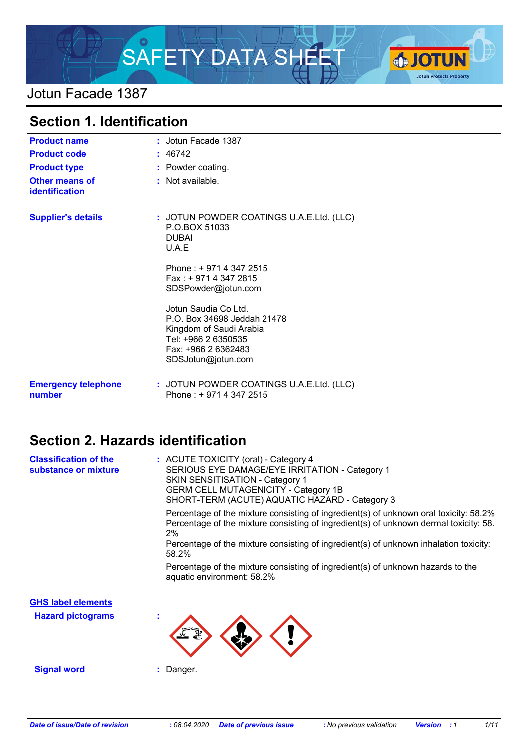

### Jotun Facade 1387

| <b>Section 1. Identification</b>        |                                                                                                                                                    |  |
|-----------------------------------------|----------------------------------------------------------------------------------------------------------------------------------------------------|--|
| <b>Product name</b>                     | : Jotun Facade 1387                                                                                                                                |  |
| <b>Product code</b>                     | : 46742                                                                                                                                            |  |
| <b>Product type</b>                     | : Powder coating.                                                                                                                                  |  |
| <b>Other means of</b><br>identification | $:$ Not available.                                                                                                                                 |  |
| <b>Supplier's details</b>               | : JOTUN POWDER COATINGS U.A.E.Ltd. (LLC)<br>P.O.BOX 51033<br><b>DUBAI</b><br>U.A.E                                                                 |  |
|                                         | Phone: +9714 347 2515<br>Fax: +9714 347 2815<br>SDSPowder@jotun.com                                                                                |  |
|                                         | Jotun Saudia Co Ltd.<br>P.O. Box 34698 Jeddah 21478<br>Kingdom of Saudi Arabia<br>Tel: +966 2 6350535<br>Fax: +966 2 6362483<br>SDSJotun@jotun.com |  |
| <b>Emergency telephone</b><br>number    | : JOTUN POWDER COATINGS U.A.E.Ltd. (LLC)<br>Phone: +9714 347 2515                                                                                  |  |

# **Section 2. Hazards identification**

| <b>Classification of the</b><br>substance or mixture | : ACUTE TOXICITY (oral) - Category 4<br>SERIOUS EYE DAMAGE/EYE IRRITATION - Category 1<br><b>SKIN SENSITISATION - Category 1</b><br><b>GERM CELL MUTAGENICITY - Category 1B</b><br>SHORT-TERM (ACUTE) AQUATIC HAZARD - Category 3 |
|------------------------------------------------------|-----------------------------------------------------------------------------------------------------------------------------------------------------------------------------------------------------------------------------------|
|                                                      | Percentage of the mixture consisting of ingredient(s) of unknown oral toxicity: 58.2%<br>Percentage of the mixture consisting of ingredient(s) of unknown dermal toxicity: 58.<br>2%                                              |
|                                                      | Percentage of the mixture consisting of ingredient(s) of unknown inhalation toxicity:<br>58.2%                                                                                                                                    |
|                                                      | Percentage of the mixture consisting of ingredient(s) of unknown hazards to the<br>aquatic environment: 58.2%                                                                                                                     |
| <b>GHS label elements</b>                            |                                                                                                                                                                                                                                   |
| <b>Hazard pictograms</b>                             | $\mathbf{r}$                                                                                                                                                                                                                      |
| <b>Signal word</b>                                   | : Danger.                                                                                                                                                                                                                         |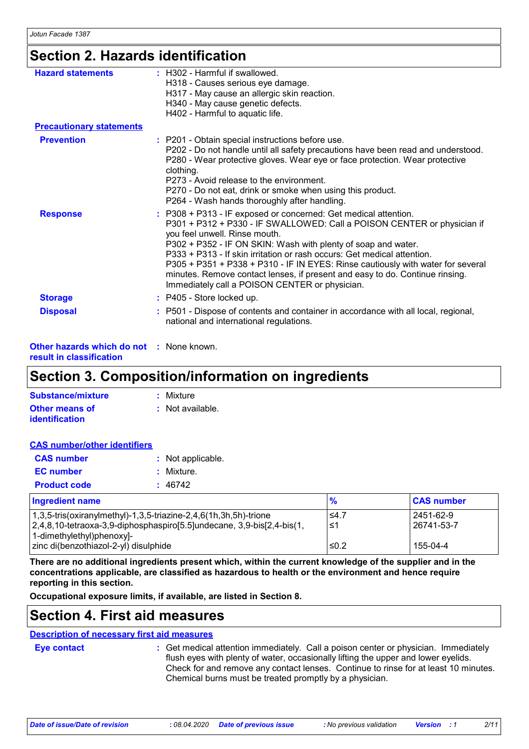# **Section 2. Hazards identification**

| <b>Hazard statements</b>        | : H302 - Harmful if swallowed.<br>H318 - Causes serious eye damage.<br>H317 - May cause an allergic skin reaction.<br>H340 - May cause genetic defects.<br>H402 - Harmful to aquatic life.                                                                                                                                                                                                                                                                                                                                                   |
|---------------------------------|----------------------------------------------------------------------------------------------------------------------------------------------------------------------------------------------------------------------------------------------------------------------------------------------------------------------------------------------------------------------------------------------------------------------------------------------------------------------------------------------------------------------------------------------|
| <b>Precautionary statements</b> |                                                                                                                                                                                                                                                                                                                                                                                                                                                                                                                                              |
| <b>Prevention</b>               | : P201 - Obtain special instructions before use.<br>P202 - Do not handle until all safety precautions have been read and understood.<br>P280 - Wear protective gloves. Wear eye or face protection. Wear protective<br>clothing.<br>P273 - Avoid release to the environment.<br>P270 - Do not eat, drink or smoke when using this product.<br>P264 - Wash hands thoroughly after handling.                                                                                                                                                   |
| <b>Response</b>                 | : P308 + P313 - IF exposed or concerned: Get medical attention.<br>P301 + P312 + P330 - IF SWALLOWED: Call a POISON CENTER or physician if<br>you feel unwell. Rinse mouth.<br>P302 + P352 - IF ON SKIN: Wash with plenty of soap and water.<br>P333 + P313 - If skin irritation or rash occurs: Get medical attention.<br>P305 + P351 + P338 + P310 - IF IN EYES: Rinse cautiously with water for several<br>minutes. Remove contact lenses, if present and easy to do. Continue rinsing.<br>Immediately call a POISON CENTER or physician. |
| <b>Storage</b>                  | : P405 - Store locked up.                                                                                                                                                                                                                                                                                                                                                                                                                                                                                                                    |
| <b>Disposal</b>                 | : P501 - Dispose of contents and container in accordance with all local, regional,<br>national and international regulations.                                                                                                                                                                                                                                                                                                                                                                                                                |

**Other hazards which do not :** None known. **result in classification**

# **Section 3. Composition/information on ingredients**

| Substance/mixture     | : Mixture        |
|-----------------------|------------------|
| <b>Other means of</b> | : Not available. |
| identification        |                  |

| <b>CAS number/other identifiers</b> |                   |
|-------------------------------------|-------------------|
| <b>CAS</b> number                   | : Not applicable. |
| <b>EC</b> number                    | : Mixture.        |
| <b>Product code</b>                 | : 46742           |

| <b>Ingredient name</b>                                                | $\frac{9}{6}$ | <b>CAS number</b> |
|-----------------------------------------------------------------------|---------------|-------------------|
| $1,3,5$ -tris(oxiranylmethyl)-1,3,5-triazine-2,4,6(1h,3h,5h)-trione   | $\leq 4.7$    | 2451-62-9         |
| 2,4,8,10-tetraoxa-3,9-diphosphaspiro[5.5]undecane, 3,9-bis[2,4-bis(1, | 1≤ا           | 26741-53-7        |
| 1-dimethylethyl)phenoxyl-                                             |               |                   |
| zinc di(benzothiazol-2-yl) disulphide                                 | $\leq 0.2$    | 155-04-4          |

**There are no additional ingredients present which, within the current knowledge of the supplier and in the concentrations applicable, are classified as hazardous to health or the environment and hence require reporting in this section.**

**Occupational exposure limits, if available, are listed in Section 8.**

### **Section 4. First aid measures**

#### **Description of necessary first aid measures**

**Eye contact :**

Get medical attention immediately. Call a poison center or physician. Immediately flush eyes with plenty of water, occasionally lifting the upper and lower eyelids. Check for and remove any contact lenses. Continue to rinse for at least 10 minutes. Chemical burns must be treated promptly by a physician.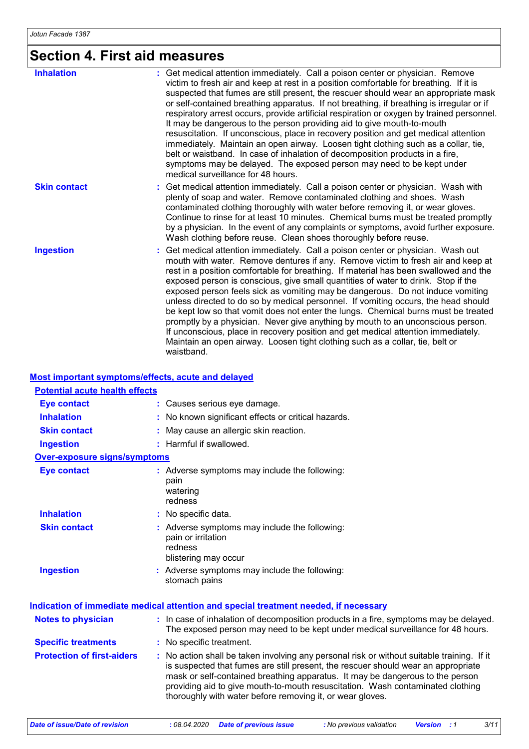# **Section 4. First aid measures**

| <b>Inhalation</b>   | : Get medical attention immediately. Call a poison center or physician. Remove<br>victim to fresh air and keep at rest in a position comfortable for breathing. If it is<br>suspected that fumes are still present, the rescuer should wear an appropriate mask<br>or self-contained breathing apparatus. If not breathing, if breathing is irregular or if<br>respiratory arrest occurs, provide artificial respiration or oxygen by trained personnel.<br>It may be dangerous to the person providing aid to give mouth-to-mouth<br>resuscitation. If unconscious, place in recovery position and get medical attention<br>immediately. Maintain an open airway. Loosen tight clothing such as a collar, tie,<br>belt or waistband. In case of inhalation of decomposition products in a fire,<br>symptoms may be delayed. The exposed person may need to be kept under<br>medical surveillance for 48 hours. |
|---------------------|-----------------------------------------------------------------------------------------------------------------------------------------------------------------------------------------------------------------------------------------------------------------------------------------------------------------------------------------------------------------------------------------------------------------------------------------------------------------------------------------------------------------------------------------------------------------------------------------------------------------------------------------------------------------------------------------------------------------------------------------------------------------------------------------------------------------------------------------------------------------------------------------------------------------|
| <b>Skin contact</b> | : Get medical attention immediately. Call a poison center or physician. Wash with<br>plenty of soap and water. Remove contaminated clothing and shoes. Wash<br>contaminated clothing thoroughly with water before removing it, or wear gloves.<br>Continue to rinse for at least 10 minutes. Chemical burns must be treated promptly<br>by a physician. In the event of any complaints or symptoms, avoid further exposure.<br>Wash clothing before reuse. Clean shoes thoroughly before reuse.                                                                                                                                                                                                                                                                                                                                                                                                                 |
| <b>Ingestion</b>    | : Get medical attention immediately. Call a poison center or physician. Wash out<br>mouth with water. Remove dentures if any. Remove victim to fresh air and keep at<br>rest in a position comfortable for breathing. If material has been swallowed and the<br>exposed person is conscious, give small quantities of water to drink. Stop if the<br>exposed person feels sick as vomiting may be dangerous. Do not induce vomiting<br>unless directed to do so by medical personnel. If vomiting occurs, the head should<br>be kept low so that vomit does not enter the lungs. Chemical burns must be treated<br>promptly by a physician. Never give anything by mouth to an unconscious person.<br>If unconscious, place in recovery position and get medical attention immediately.<br>Maintain an open airway. Loosen tight clothing such as a collar, tie, belt or<br>waistband.                          |

#### **Most important symptoms/effects, acute and delayed**

| <u>MOOL MINOLIGHT OF MINIONISHOULDING GOULD GING GOILEYOU</u> |                                                                                                                                                                                                                                                                                                                                                                                                                 |
|---------------------------------------------------------------|-----------------------------------------------------------------------------------------------------------------------------------------------------------------------------------------------------------------------------------------------------------------------------------------------------------------------------------------------------------------------------------------------------------------|
| <b>Potential acute health effects</b>                         |                                                                                                                                                                                                                                                                                                                                                                                                                 |
| <b>Eye contact</b>                                            | : Causes serious eye damage.                                                                                                                                                                                                                                                                                                                                                                                    |
| <b>Inhalation</b>                                             | : No known significant effects or critical hazards.                                                                                                                                                                                                                                                                                                                                                             |
| <b>Skin contact</b>                                           | : May cause an allergic skin reaction.                                                                                                                                                                                                                                                                                                                                                                          |
| <b>Ingestion</b>                                              | : Harmful if swallowed.                                                                                                                                                                                                                                                                                                                                                                                         |
| <b>Over-exposure signs/symptoms</b>                           |                                                                                                                                                                                                                                                                                                                                                                                                                 |
| <b>Eye contact</b>                                            | : Adverse symptoms may include the following:<br>pain<br>watering<br>redness                                                                                                                                                                                                                                                                                                                                    |
| <b>Inhalation</b>                                             | : No specific data.                                                                                                                                                                                                                                                                                                                                                                                             |
| <b>Skin contact</b>                                           | : Adverse symptoms may include the following:<br>pain or irritation<br>redness<br>blistering may occur                                                                                                                                                                                                                                                                                                          |
| <b>Ingestion</b>                                              | : Adverse symptoms may include the following:<br>stomach pains                                                                                                                                                                                                                                                                                                                                                  |
|                                                               | Indication of immediate medical attention and special treatment needed, if necessary                                                                                                                                                                                                                                                                                                                            |
| <b>Notes to physician</b>                                     | : In case of inhalation of decomposition products in a fire, symptoms may be delayed.<br>The exposed person may need to be kept under medical surveillance for 48 hours.                                                                                                                                                                                                                                        |
| <b>Specific treatments</b>                                    | : No specific treatment.                                                                                                                                                                                                                                                                                                                                                                                        |
| <b>Protection of first-aiders</b>                             | : No action shall be taken involving any personal risk or without suitable training. If it<br>is suspected that fumes are still present, the rescuer should wear an appropriate<br>mask or self-contained breathing apparatus. It may be dangerous to the person<br>providing aid to give mouth-to-mouth resuscitation. Wash contaminated clothing<br>thoroughly with water before removing it, or wear gloves. |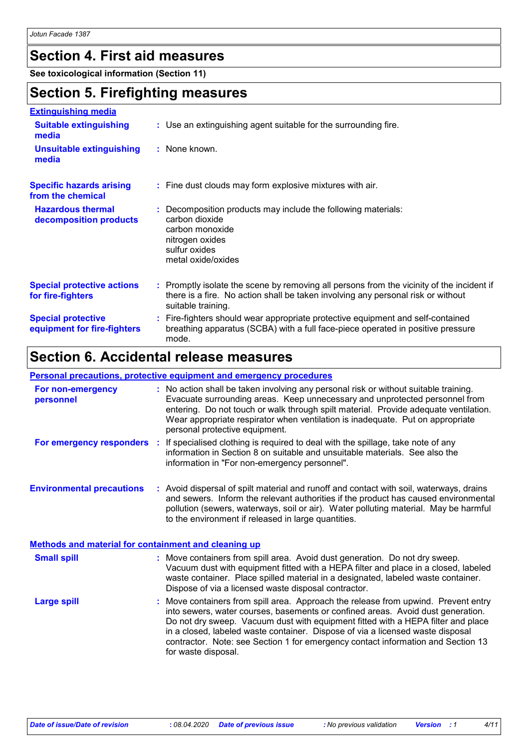# **Section 4. First aid measures**

**See toxicological information (Section 11)**

### **Section 5. Firefighting measures**

| <b>Extinguishing media</b>                               |                                                                                                                                                                                                     |
|----------------------------------------------------------|-----------------------------------------------------------------------------------------------------------------------------------------------------------------------------------------------------|
| <b>Suitable extinguishing</b><br>media                   | : Use an extinguishing agent suitable for the surrounding fire.                                                                                                                                     |
| <b>Unsuitable extinguishing</b><br>media                 | : None known.                                                                                                                                                                                       |
| <b>Specific hazards arising</b><br>from the chemical     | : Fine dust clouds may form explosive mixtures with air.                                                                                                                                            |
| <b>Hazardous thermal</b><br>decomposition products       | : Decomposition products may include the following materials:<br>carbon dioxide<br>carbon monoxide<br>nitrogen oxides<br>sulfur oxides<br>metal oxide/oxides                                        |
| <b>Special protective actions</b><br>for fire-fighters   | : Promptly isolate the scene by removing all persons from the vicinity of the incident if<br>there is a fire. No action shall be taken involving any personal risk or without<br>suitable training. |
| <b>Special protective</b><br>equipment for fire-fighters | : Fire-fighters should wear appropriate protective equipment and self-contained<br>breathing apparatus (SCBA) with a full face-piece operated in positive pressure<br>mode.                         |

### **Section 6. Accidental release measures**

#### **Personal precautions, protective equipment and emergency procedures**

| For non-emergency<br>personnel                              | : No action shall be taken involving any personal risk or without suitable training.<br>Evacuate surrounding areas. Keep unnecessary and unprotected personnel from<br>entering. Do not touch or walk through spilt material. Provide adequate ventilation.<br>Wear appropriate respirator when ventilation is inadequate. Put on appropriate<br>personal protective equipment.                                                                        |  |
|-------------------------------------------------------------|--------------------------------------------------------------------------------------------------------------------------------------------------------------------------------------------------------------------------------------------------------------------------------------------------------------------------------------------------------------------------------------------------------------------------------------------------------|--|
|                                                             | For emergency responders : If specialised clothing is required to deal with the spillage, take note of any<br>information in Section 8 on suitable and unsuitable materials. See also the<br>information in "For non-emergency personnel".                                                                                                                                                                                                             |  |
| <b>Environmental precautions</b>                            | : Avoid dispersal of spilt material and runoff and contact with soil, waterways, drains<br>and sewers. Inform the relevant authorities if the product has caused environmental<br>pollution (sewers, waterways, soil or air). Water polluting material. May be harmful<br>to the environment if released in large quantities.                                                                                                                          |  |
| <b>Methods and material for containment and cleaning up</b> |                                                                                                                                                                                                                                                                                                                                                                                                                                                        |  |
| <b>Small spill</b>                                          | : Move containers from spill area. Avoid dust generation. Do not dry sweep.<br>Vacuum dust with equipment fitted with a HEPA filter and place in a closed, labeled<br>waste container. Place spilled material in a designated, labeled waste container.<br>Dispose of via a licensed waste disposal contractor.                                                                                                                                        |  |
| <b>Large spill</b>                                          | : Move containers from spill area. Approach the release from upwind. Prevent entry<br>into sewers, water courses, basements or confined areas. Avoid dust generation.<br>Do not dry sweep. Vacuum dust with equipment fitted with a HEPA filter and place<br>in a closed, labeled waste container. Dispose of via a licensed waste disposal<br>contractor. Note: see Section 1 for emergency contact information and Section 13<br>for waste disposal. |  |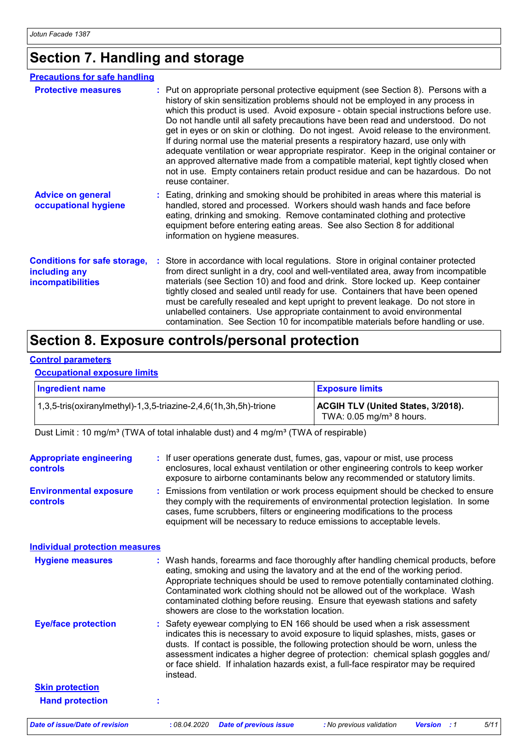# **Section 7. Handling and storage**

| <b>Precautions for safe handling</b>                                      |                                                                                                                                                                                                                                                                                                                                                                                                                                                                                                                                                                                                                                                                                                                                                                                                                    |
|---------------------------------------------------------------------------|--------------------------------------------------------------------------------------------------------------------------------------------------------------------------------------------------------------------------------------------------------------------------------------------------------------------------------------------------------------------------------------------------------------------------------------------------------------------------------------------------------------------------------------------------------------------------------------------------------------------------------------------------------------------------------------------------------------------------------------------------------------------------------------------------------------------|
| <b>Protective measures</b>                                                | : Put on appropriate personal protective equipment (see Section 8). Persons with a<br>history of skin sensitization problems should not be employed in any process in<br>which this product is used. Avoid exposure - obtain special instructions before use.<br>Do not handle until all safety precautions have been read and understood. Do not<br>get in eyes or on skin or clothing. Do not ingest. Avoid release to the environment.<br>If during normal use the material presents a respiratory hazard, use only with<br>adequate ventilation or wear appropriate respirator. Keep in the original container or<br>an approved alternative made from a compatible material, kept tightly closed when<br>not in use. Empty containers retain product residue and can be hazardous. Do not<br>reuse container. |
| <b>Advice on general</b><br>occupational hygiene                          | : Eating, drinking and smoking should be prohibited in areas where this material is<br>handled, stored and processed. Workers should wash hands and face before<br>eating, drinking and smoking. Remove contaminated clothing and protective<br>equipment before entering eating areas. See also Section 8 for additional<br>information on hygiene measures.                                                                                                                                                                                                                                                                                                                                                                                                                                                      |
| <b>Conditions for safe storage,</b><br>including any<br>incompatibilities | Store in accordance with local regulations. Store in original container protected<br>from direct sunlight in a dry, cool and well-ventilated area, away from incompatible<br>materials (see Section 10) and food and drink. Store locked up. Keep container<br>tightly closed and sealed until ready for use. Containers that have been opened<br>must be carefully resealed and kept upright to prevent leakage. Do not store in<br>unlabelled containers. Use appropriate containment to avoid environmental<br>contamination. See Section 10 for incompatible materials before handling or use.                                                                                                                                                                                                                 |

### **Section 8. Exposure controls/personal protection**

#### **Control parameters**

#### **Occupational exposure limits**

| Ingredient name                                                          | <b>Exposure limits</b>                                                              |
|--------------------------------------------------------------------------|-------------------------------------------------------------------------------------|
| $\vert$ 1,3,5-tris(oxiranylmethyl)-1,3,5-triazine-2,4,6(1h,3h,5h)-trione | <b>ACGIH TLV (United States, 3/2018).</b><br>TWA: $0.05$ mg/m <sup>3</sup> 8 hours. |

Dust Limit : 10 mg/m<sup>3</sup> (TWA of total inhalable dust) and 4 mg/m<sup>3</sup> (TWA of respirable)

| <b>Appropriate engineering</b><br><b>controls</b><br><b>Environmental exposure</b><br>controls | : If user operations generate dust, fumes, gas, vapour or mist, use process<br>enclosures, local exhaust ventilation or other engineering controls to keep worker<br>exposure to airborne contaminants below any recommended or statutory limits.<br>: Emissions from ventilation or work process equipment should be checked to ensure<br>they comply with the requirements of environmental protection legislation. In some<br>cases, fume scrubbers, filters or engineering modifications to the process<br>equipment will be necessary to reduce emissions to acceptable levels. |
|------------------------------------------------------------------------------------------------|--------------------------------------------------------------------------------------------------------------------------------------------------------------------------------------------------------------------------------------------------------------------------------------------------------------------------------------------------------------------------------------------------------------------------------------------------------------------------------------------------------------------------------------------------------------------------------------|
| <b>Individual protection measures</b>                                                          |                                                                                                                                                                                                                                                                                                                                                                                                                                                                                                                                                                                      |
| <b>Hygiene measures</b>                                                                        | : Wash hands, forearms and face thoroughly after handling chemical products, before<br>eating, smoking and using the lavatory and at the end of the working period.<br>Appropriate techniques should be used to remove potentially contaminated clothing.<br>Contaminated work clothing should not be allowed out of the workplace. Wash<br>contaminated clothing before reusing. Ensure that eyewash stations and safety<br>showers are close to the workstation location.                                                                                                          |
| <b>Eye/face protection</b>                                                                     | : Safety eyewear complying to EN 166 should be used when a risk assessment<br>indicates this is necessary to avoid exposure to liquid splashes, mists, gases or<br>dusts. If contact is possible, the following protection should be worn, unless the<br>assessment indicates a higher degree of protection: chemical splash goggles and/<br>or face shield. If inhalation hazards exist, a full-face respirator may be required<br>instead.                                                                                                                                         |
| <b>Skin protection</b>                                                                         |                                                                                                                                                                                                                                                                                                                                                                                                                                                                                                                                                                                      |
| <b>Hand protection</b>                                                                         | t                                                                                                                                                                                                                                                                                                                                                                                                                                                                                                                                                                                    |
| <b>Date of issue/Date of revision</b>                                                          | : 08.04.2020<br>5/11<br><b>Date of previous issue</b><br>: No previous validation<br><b>Version</b> : 1                                                                                                                                                                                                                                                                                                                                                                                                                                                                              |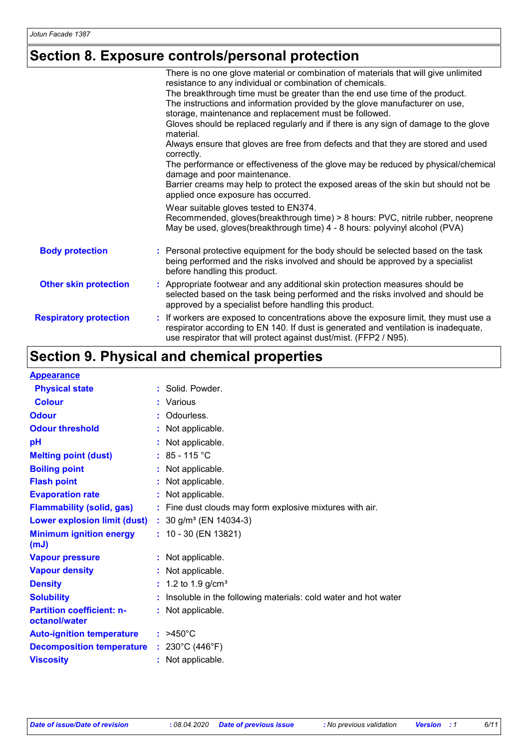# **Section 8. Exposure controls/personal protection**

|                               | There is no one glove material or combination of materials that will give unlimited                                                                                                                                                              |
|-------------------------------|--------------------------------------------------------------------------------------------------------------------------------------------------------------------------------------------------------------------------------------------------|
|                               | resistance to any individual or combination of chemicals.                                                                                                                                                                                        |
|                               | The breakthrough time must be greater than the end use time of the product.                                                                                                                                                                      |
|                               | The instructions and information provided by the glove manufacturer on use,                                                                                                                                                                      |
|                               | storage, maintenance and replacement must be followed.                                                                                                                                                                                           |
|                               | Gloves should be replaced regularly and if there is any sign of damage to the glove<br>material.                                                                                                                                                 |
|                               | Always ensure that gloves are free from defects and that they are stored and used<br>correctly.                                                                                                                                                  |
|                               | The performance or effectiveness of the glove may be reduced by physical/chemical<br>damage and poor maintenance.                                                                                                                                |
|                               | Barrier creams may help to protect the exposed areas of the skin but should not be<br>applied once exposure has occurred.                                                                                                                        |
|                               | Wear suitable gloves tested to EN374.                                                                                                                                                                                                            |
|                               | Recommended, gloves(breakthrough time) > 8 hours: PVC, nitrile rubber, neoprene<br>May be used, gloves(breakthrough time) 4 - 8 hours: polyvinyl alcohol (PVA)                                                                                   |
| <b>Body protection</b>        | : Personal protective equipment for the body should be selected based on the task<br>being performed and the risks involved and should be approved by a specialist<br>before handling this product.                                              |
| <b>Other skin protection</b>  | : Appropriate footwear and any additional skin protection measures should be<br>selected based on the task being performed and the risks involved and should be<br>approved by a specialist before handling this product.                        |
| <b>Respiratory protection</b> | : If workers are exposed to concentrations above the exposure limit, they must use a<br>respirator according to EN 140. If dust is generated and ventilation is inadequate,<br>use respirator that will protect against dust/mist. (FFP2 / N95). |

# **Section 9. Physical and chemical properties**

| <b>Appearance</b>                                 |                                                                |
|---------------------------------------------------|----------------------------------------------------------------|
| <b>Physical state</b>                             | : Solid. Powder.                                               |
| <b>Colour</b>                                     | : Various                                                      |
| <b>Odour</b>                                      | : Odourless.                                                   |
| <b>Odour threshold</b>                            | Not applicable.                                                |
| pH                                                | : Not applicable.                                              |
| <b>Melting point (dust)</b>                       | : $85 - 115$ °C                                                |
| <b>Boiling point</b>                              | : Not applicable.                                              |
| <b>Flash point</b>                                | Not applicable.                                                |
| <b>Evaporation rate</b>                           | : Not applicable.                                              |
| <b>Flammability (solid, gas)</b>                  | : Fine dust clouds may form explosive mixtures with air.       |
| <b>Lower explosion limit (dust)</b>               | : $30$ g/m <sup>3</sup> (EN 14034-3)                           |
| <b>Minimum ignition energy</b><br>(mJ)            | $: 10 - 30$ (EN 13821)                                         |
| <b>Vapour pressure</b>                            | : Not applicable.                                              |
| <b>Vapour density</b>                             | : Not applicable.                                              |
| <b>Density</b>                                    | : 1.2 to 1.9 $g/cm^{3}$                                        |
| <b>Solubility</b>                                 | Insoluble in the following materials: cold water and hot water |
| <b>Partition coefficient: n-</b><br>octanol/water | : Not applicable.                                              |
| <b>Auto-ignition temperature</b>                  | $: 2450^{\circ}$ C                                             |
| <b>Decomposition temperature</b>                  | : $230^{\circ}$ C (446 $^{\circ}$ F)                           |
| <b>Viscosity</b>                                  | : Not applicable.                                              |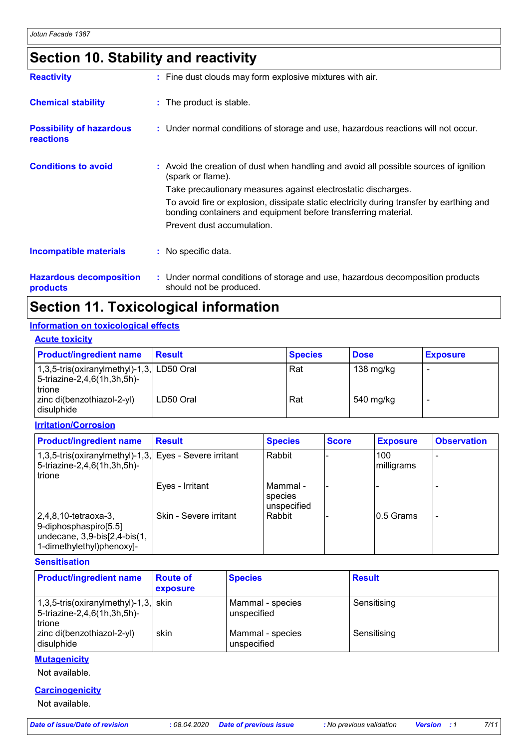# **Section 10. Stability and reactivity**

| <b>Reactivity</b>                            | : Fine dust clouds may form explosive mixtures with air.                                                                                                   |
|----------------------------------------------|------------------------------------------------------------------------------------------------------------------------------------------------------------|
| <b>Chemical stability</b>                    | : The product is stable.                                                                                                                                   |
| <b>Possibility of hazardous</b><br>reactions | : Under normal conditions of storage and use, hazardous reactions will not occur.                                                                          |
| <b>Conditions to avoid</b>                   | : Avoid the creation of dust when handling and avoid all possible sources of ignition<br>(spark or flame).                                                 |
|                                              | Take precautionary measures against electrostatic discharges.                                                                                              |
|                                              | To avoid fire or explosion, dissipate static electricity during transfer by earthing and<br>bonding containers and equipment before transferring material. |
|                                              | Prevent dust accumulation.                                                                                                                                 |
| <b>Incompatible materials</b>                | $\therefore$ No specific data.                                                                                                                             |
| <b>Hazardous decomposition</b>               | : Under normal conditions of storage and use, hazardous decomposition products                                                                             |

**products**

should not be produced.

# **Section 11. Toxicological information**

#### **Information on toxicological effects**

| <b>Acute toxicity</b>                                                                  |               |                |             |                 |  |
|----------------------------------------------------------------------------------------|---------------|----------------|-------------|-----------------|--|
| <b>Product/ingredient name</b>                                                         | <b>Result</b> | <b>Species</b> | <b>Dose</b> | <b>Exposure</b> |  |
| 1,3,5-tris(oxiranylmethyl)-1,3, LD50 Oral<br>$ 5-$ triazine-2,4,6(1h,3h,5h)-<br>trione |               | Rat            | 138 mg/kg   |                 |  |
| zinc di(benzothiazol-2-yl)<br>I disulphide                                             | LD50 Oral     | Rat            | 540 mg/kg   |                 |  |

**Irritation/Corrosion**

| <b>Product/ingredient name</b>                                                                                            | Result                 | <b>Species</b>                       | <b>Score</b> | <b>Exposure</b>   | <b>Observation</b> |
|---------------------------------------------------------------------------------------------------------------------------|------------------------|--------------------------------------|--------------|-------------------|--------------------|
| 1,3,5-tris(oxiranylmethyl)-1,3, Eyes - Severe irritant<br>5-triazine-2,4,6(1h,3h,5h)-<br>trione                           |                        | l Rabbit                             |              | 100<br>milligrams |                    |
|                                                                                                                           | Eyes - Irritant        | l Mammal -<br>species<br>unspecified |              |                   |                    |
| $ 2,4,8,10$ -tetraoxa-3,<br>9-diphosphaspiro[5.5]<br>$ $ undecane, 3,9-bis $[2,4$ -bis $(1,$<br>1-dimethylethyl)phenoxyl- | Skin - Severe irritant | l Rabbit                             |              | 10.5 Grams        |                    |

**Sensitisation**

| <b>Product/ingredient name</b>                                                            | <b>Route of</b><br>exposure | <b>Species</b>                  | <b>Result</b> |
|-------------------------------------------------------------------------------------------|-----------------------------|---------------------------------|---------------|
| $1,3,5$ -tris(oxiranylmethyl)-1,3, skin<br>5-triazine-2,4,6(1h,3h,5h)-<br><b>I</b> trione |                             | Mammal - species<br>unspecified | Sensitising   |
| zinc di(benzothiazol-2-yl)<br>disulphide                                                  | skin                        | Mammal - species<br>unspecified | Sensitising   |

#### **Mutagenicity**

Not available.

#### **Carcinogenicity**

Not available.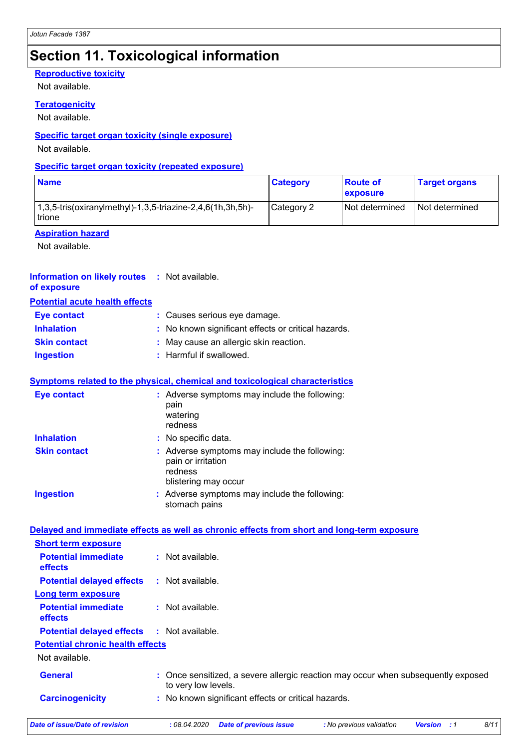# **Section 11. Toxicological information**

#### **Reproductive toxicity**

Not available.

#### **Teratogenicity**

Not available.

#### **Specific target organ toxicity (single exposure)**

Not available.

#### **Specific target organ toxicity (repeated exposure)**

| <b>Name</b>                                                             | <b>Category</b> | <b>Route of</b><br><b>exposure</b> | <b>Target organs</b> |
|-------------------------------------------------------------------------|-----------------|------------------------------------|----------------------|
| $1,3,5$ -tris(oxiranylmethyl)-1,3,5-triazine-2,4,6(1h,3h,5h)-<br>trione | Category 2      | Not determined                     | l Not determined     |

#### **Aspiration hazard**

Not available.

#### **Information on likely routes :** Not available. **of exposure**

#### **Potential acute health effects**

| <b>Eye contact</b>  | : Causes serious eye damage.                        |
|---------------------|-----------------------------------------------------|
| <b>Inhalation</b>   | : No known significant effects or critical hazards. |
| <b>Skin contact</b> | : May cause an allergic skin reaction.              |
| <b>Ingestion</b>    | : Harmful if swallowed.                             |

#### **Symptoms related to the physical, chemical and toxicological characteristics**

| <b>Eye contact</b>  | : Adverse symptoms may include the following:<br>pain<br>watering<br>redness                           |
|---------------------|--------------------------------------------------------------------------------------------------------|
| <b>Inhalation</b>   | : No specific data.                                                                                    |
| <b>Skin contact</b> | : Adverse symptoms may include the following:<br>pain or irritation<br>redness<br>blistering may occur |
| <b>Ingestion</b>    | : Adverse symptoms may include the following:<br>stomach pains                                         |

| Date of issue/Date of revision               | 8/11<br>: 08.04.2020<br><b>Date of previous issue</b><br>: No previous validation<br><b>Version</b> : 1  |
|----------------------------------------------|----------------------------------------------------------------------------------------------------------|
| <b>Carcinogenicity</b>                       | : No known significant effects or critical hazards.                                                      |
| <b>General</b>                               | : Once sensitized, a severe allergic reaction may occur when subsequently exposed<br>to very low levels. |
| Not available.                               |                                                                                                          |
| <b>Potential chronic health effects</b>      |                                                                                                          |
| <b>Potential delayed effects</b>             | : Not available.                                                                                         |
| <b>Potential immediate</b><br>effects        | $\therefore$ Not available.                                                                              |
| Long term exposure                           |                                                                                                          |
| <b>Potential delayed effects</b>             | : Not available.                                                                                         |
| <b>Potential immediate</b><br><b>effects</b> | $:$ Not available.                                                                                       |
| <b>Short term exposure</b>                   |                                                                                                          |
|                                              | Delayed and immediate effects as well as chronic effects from short and long-term exposure               |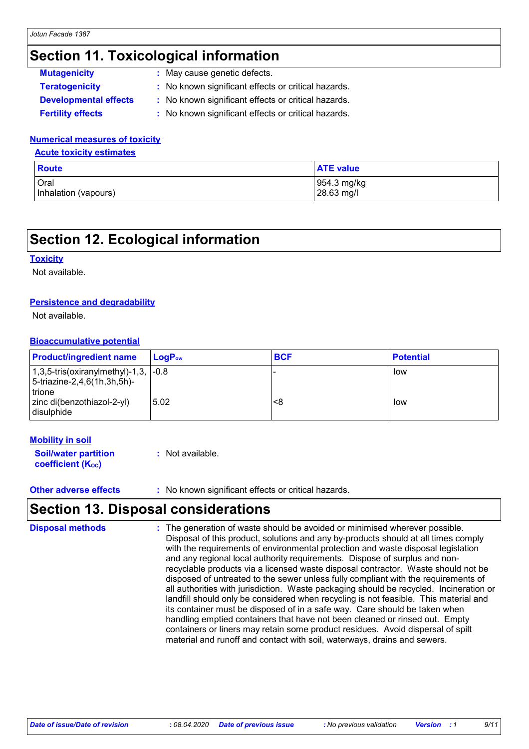# **Section 11. Toxicological information**

| <b>Mutagenicity</b>          | : May cause genetic defects.                        |
|------------------------------|-----------------------------------------------------|
| <b>Teratogenicity</b>        | : No known significant effects or critical hazards. |
| <b>Developmental effects</b> | : No known significant effects or critical hazards. |
| <b>Fertility effects</b>     | : No known significant effects or critical hazards. |

#### **Numerical measures of toxicity**

**Acute toxicity estimates**

| <b>Route</b>         | <b>ATE value</b> |
|----------------------|------------------|
| Oral                 | 954.3 mg/kg      |
| Inhalation (vapours) | 28.63 mg/l       |

### **Section 12. Ecological information**

#### **Toxicity**

Not available.

#### **Persistence and degradability**

Not available.

#### **Bioaccumulative potential**

| <b>Product/ingredient name</b>                                                                  | LogP <sub>ow</sub> | <b>BCF</b> | <b>Potential</b> |
|-------------------------------------------------------------------------------------------------|--------------------|------------|------------------|
| $1,3,5$ -tris(oxiranylmethyl)-1,3, $\sim$ 1.8<br>5-triazine-2,4,6(1h,3h,5h)-<br><b>I</b> trione |                    |            | low              |
| zinc di(benzothiazol-2-yl)<br>disulphide                                                        | 5.02               | <8         | low              |

#### **Mobility in soil**

**Soil/water partition coefficient (Koc) :** Not available.

**Other adverse effects** : No known significant effects or critical hazards.

### **Section 13. Disposal considerations**

The generation of waste should be avoided or minimised wherever possible. Disposal of this product, solutions and any by-products should at all times comply with the requirements of environmental protection and waste disposal legislation and any regional local authority requirements. Dispose of surplus and nonrecyclable products via a licensed waste disposal contractor. Waste should not be disposed of untreated to the sewer unless fully compliant with the requirements of all authorities with jurisdiction. Waste packaging should be recycled. Incineration or landfill should only be considered when recycling is not feasible. This material and its container must be disposed of in a safe way. Care should be taken when handling emptied containers that have not been cleaned or rinsed out. Empty containers or liners may retain some product residues. Avoid dispersal of spilt material and runoff and contact with soil, waterways, drains and sewers. **Disposal methods :**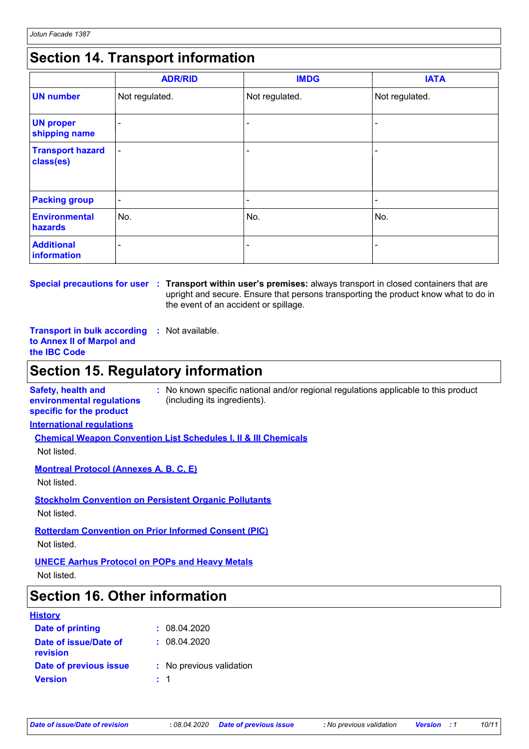# **Section 14. Transport information**

|                                      | <b>ADR/RID</b>           | <b>IMDG</b>    | <b>IATA</b>    |
|--------------------------------------|--------------------------|----------------|----------------|
| <b>UN number</b>                     | Not regulated.           | Not regulated. | Not regulated. |
| <b>UN proper</b><br>shipping name    | -                        |                |                |
| <b>Transport hazard</b><br>class(es) | $\overline{\phantom{a}}$ |                | ۰              |
| <b>Packing group</b>                 | $\blacksquare$           | ٠              | ۰              |
| <b>Environmental</b><br>hazards      | No.                      | No.            | No.            |
| <b>Additional</b><br>information     | -                        |                |                |

**Special precautions for user Transport within user's premises:** always transport in closed containers that are **:** upright and secure. Ensure that persons transporting the product know what to do in the event of an accident or spillage.

**Transport in bulk according :** Not available. **to Annex II of Marpol and the IBC Code**

# **Section 15. Regulatory information**

**Safety, health and environmental regulations specific for the product :** No known specific national and/or regional regulations applicable to this product (including its ingredients).

**International regulations**

**Chemical Weapon Convention List Schedules I, II & III Chemicals**

Not listed.

**Montreal Protocol (Annexes A, B, C, E)**

Not listed.

**Stockholm Convention on Persistent Organic Pollutants** Not listed.

**Rotterdam Convention on Prior Informed Consent (PIC)**

Not listed.

**UNECE Aarhus Protocol on POPs and Heavy Metals**

Not listed.

### **Section 16. Other information**

#### **History**

| Date of printing                  |         | : 08.04.2020             |
|-----------------------------------|---------|--------------------------|
| Date of issue/Date of<br>revision |         | : 08.04.2020             |
| Date of previous issue            |         | : No previous validation |
| <b>Version</b>                    | $\pm$ 1 |                          |